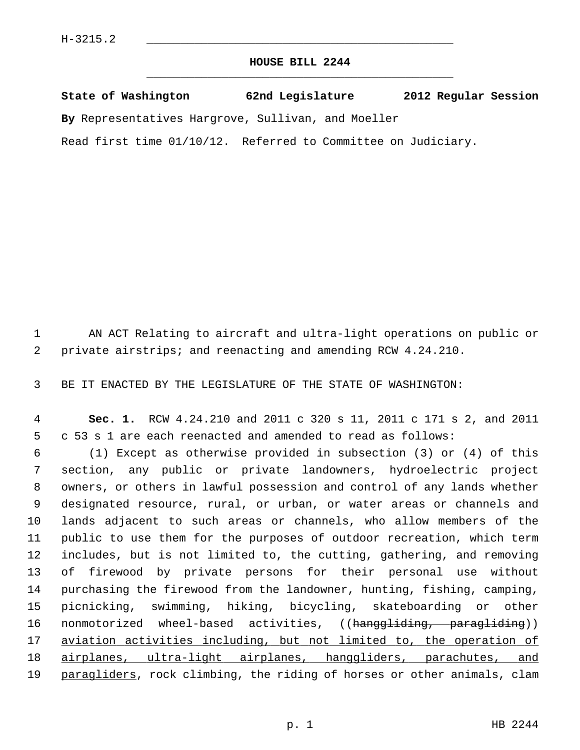## **HOUSE BILL 2244** \_\_\_\_\_\_\_\_\_\_\_\_\_\_\_\_\_\_\_\_\_\_\_\_\_\_\_\_\_\_\_\_\_\_\_\_\_\_\_\_\_\_\_\_\_

**State of Washington 62nd Legislature 2012 Regular Session**

**By** Representatives Hargrove, Sullivan, and Moeller

Read first time 01/10/12. Referred to Committee on Judiciary.

 1 AN ACT Relating to aircraft and ultra-light operations on public or 2 private airstrips; and reenacting and amending RCW 4.24.210.

3 BE IT ENACTED BY THE LEGISLATURE OF THE STATE OF WASHINGTON:

 4 **Sec. 1.** RCW 4.24.210 and 2011 c 320 s 11, 2011 c 171 s 2, and 2011 5 c 53 s 1 are each reenacted and amended to read as follows:

 6 (1) Except as otherwise provided in subsection (3) or (4) of this 7 section, any public or private landowners, hydroelectric project 8 owners, or others in lawful possession and control of any lands whether 9 designated resource, rural, or urban, or water areas or channels and 10 lands adjacent to such areas or channels, who allow members of the 11 public to use them for the purposes of outdoor recreation, which term 12 includes, but is not limited to, the cutting, gathering, and removing 13 of firewood by private persons for their personal use without 14 purchasing the firewood from the landowner, hunting, fishing, camping, 15 picnicking, swimming, hiking, bicycling, skateboarding or other 16 nonmotorized wheel-based activities, ((hanggliding, paragliding)) 17 aviation activities including, but not limited to, the operation of 18 airplanes, ultra-light airplanes, hanggliders, parachutes, and 19 paragliders, rock climbing, the riding of horses or other animals, clam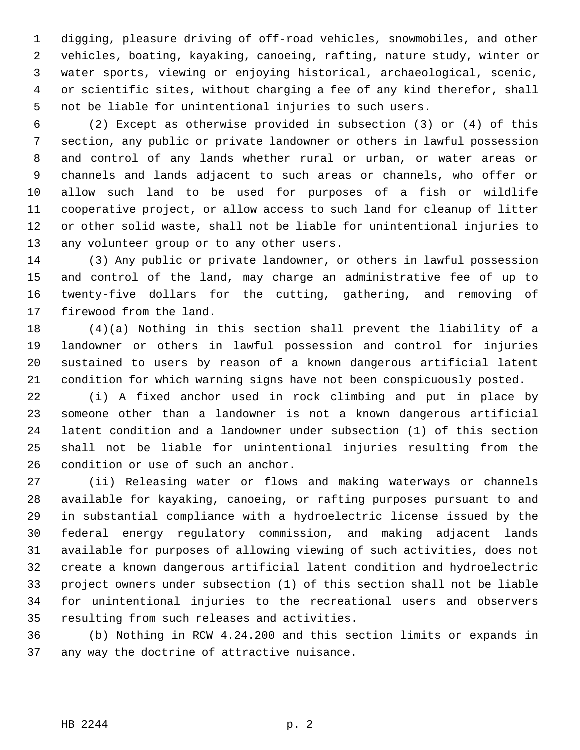1 digging, pleasure driving of off-road vehicles, snowmobiles, and other 2 vehicles, boating, kayaking, canoeing, rafting, nature study, winter or 3 water sports, viewing or enjoying historical, archaeological, scenic, 4 or scientific sites, without charging a fee of any kind therefor, shall 5 not be liable for unintentional injuries to such users.

 6 (2) Except as otherwise provided in subsection (3) or (4) of this 7 section, any public or private landowner or others in lawful possession 8 and control of any lands whether rural or urban, or water areas or 9 channels and lands adjacent to such areas or channels, who offer or 10 allow such land to be used for purposes of a fish or wildlife 11 cooperative project, or allow access to such land for cleanup of litter 12 or other solid waste, shall not be liable for unintentional injuries to 13 any volunteer group or to any other users.

14 (3) Any public or private landowner, or others in lawful possession 15 and control of the land, may charge an administrative fee of up to 16 twenty-five dollars for the cutting, gathering, and removing of 17 firewood from the land.

18 (4)(a) Nothing in this section shall prevent the liability of a 19 landowner or others in lawful possession and control for injuries 20 sustained to users by reason of a known dangerous artificial latent 21 condition for which warning signs have not been conspicuously posted.

22 (i) A fixed anchor used in rock climbing and put in place by 23 someone other than a landowner is not a known dangerous artificial 24 latent condition and a landowner under subsection (1) of this section 25 shall not be liable for unintentional injuries resulting from the 26 condition or use of such an anchor.

27 (ii) Releasing water or flows and making waterways or channels 28 available for kayaking, canoeing, or rafting purposes pursuant to and 29 in substantial compliance with a hydroelectric license issued by the 30 federal energy regulatory commission, and making adjacent lands 31 available for purposes of allowing viewing of such activities, does not 32 create a known dangerous artificial latent condition and hydroelectric 33 project owners under subsection (1) of this section shall not be liable 34 for unintentional injuries to the recreational users and observers 35 resulting from such releases and activities.

36 (b) Nothing in RCW 4.24.200 and this section limits or expands in 37 any way the doctrine of attractive nuisance.